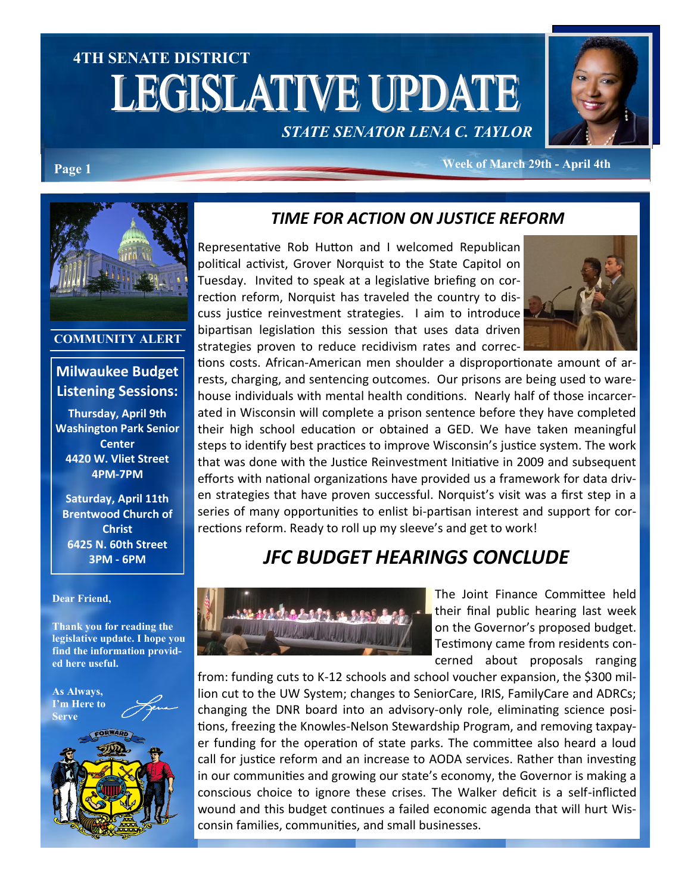# **4TH SENATE DISTRICT LEGISLATIVE UPDATE** *STATE SENATOR LENA C. TAYLOR*



#### **Week of March 29th - April 4th Page 1**



#### **COMMUNITY ALERT**

#### **Milwaukee Budget Listening Sessions:**

**Thursday, April 9th Washington Park Senior Center 4420 W. Vliet Street 4PM-7PM**

**Saturday, April 11th Brentwood Church of Christ 6425 N. 60th Street 3PM - 6PM**

#### **Dear Friend,**

**Thank you for reading the legislative update. I hope you find the information provided here useful.**



### *TIME FOR ACTION ON JUSTICE REFORM*

Representative Rob Hutton and I welcomed Republican political activist, Grover Norquist to the State Capitol on Tuesday. Invited to speak at a legislative briefing on correction reform, Norquist has traveled the country to discuss justice reinvestment strategies. I aim to introduce bipartisan legislation this session that uses data driven strategies proven to reduce recidivism rates and correc-



tions costs. African-American men shoulder a disproportionate amount of arrests, charging, and sentencing outcomes. Our prisons are being used to warehouse individuals with mental health conditions. Nearly half of those incarcerated in Wisconsin will complete a prison sentence before they have completed their high school education or obtained a GED. We have taken meaningful steps to identify best practices to improve Wisconsin's justice system. The work that was done with the Justice Reinvestment Initiative in 2009 and subsequent efforts with national organizations have provided us a framework for data driven strategies that have proven successful. Norquist's visit was a first step in a series of many opportunities to enlist bi-partisan interest and support for corrections reform. Ready to roll up my sleeve's and get to work!

### *JFC BUDGET HEARINGS CONCLUDE*



The Joint Finance Committee held their final public hearing last week on the Governor's proposed budget. Testimony came from residents concerned about proposals ranging

from: funding cuts to K-12 schools and school voucher expansion, the \$300 million cut to the UW System; changes to SeniorCare, IRIS, FamilyCare and ADRCs; changing the DNR board into an advisory-only role, eliminating science positions, freezing the Knowles-Nelson Stewardship Program, and removing taxpayer funding for the operation of state parks. The committee also heard a loud call for justice reform and an increase to AODA services. Rather than investing in our communities and growing our state's economy, the Governor is making a conscious choice to ignore these crises. The Walker deficit is a self-inflicted wound and this budget continues a failed economic agenda that will hurt Wisconsin families, communities, and small businesses.